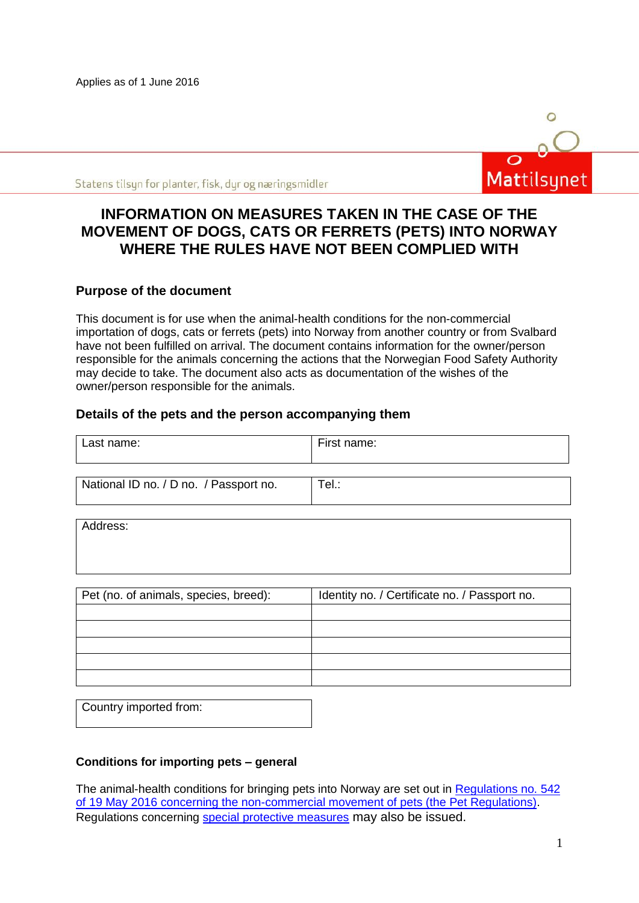Applies as of 1 June 2016



Statens tilsyn for planter, fisk, dyr og næringsmidler

# **INFORMATION ON MEASURES TAKEN IN THE CASE OF THE MOVEMENT OF DOGS, CATS OR FERRETS (PETS) INTO NORWAY WHERE THE RULES HAVE NOT BEEN COMPLIED WITH**

# **Purpose of the document**

This document is for use when the animal-health conditions for the non-commercial importation of dogs, cats or ferrets (pets) into Norway from another country or from Svalbard have not been fulfilled on arrival. The document contains information for the owner/person responsible for the animals concerning the actions that the Norwegian Food Safety Authority may decide to take. The document also acts as documentation of the wishes of the owner/person responsible for the animals.

#### **Details of the pets and the person accompanying them**

| Last name: | First name: |
|------------|-------------|
|            |             |

| National ID no. / D no. / Passport no. | $ $ Tel.: |
|----------------------------------------|-----------|
|                                        |           |

Address:

| Pet (no. of animals, species, breed): | Identity no. / Certificate no. / Passport no. |
|---------------------------------------|-----------------------------------------------|
|                                       |                                               |
|                                       |                                               |
|                                       |                                               |
|                                       |                                               |
|                                       |                                               |

| Country imported from: |  |
|------------------------|--|
|                        |  |

#### **Conditions for importing pets – general**

The animal-health conditions for bringing pets into Norway are set out in [Regulations no. 542](https://lovdata.no/dokument/LTI/forskrift/2016-05-19-542)  [of 19 May 2016 concerning the non-commercial movement of pets \(the Pet Regulations\).](https://lovdata.no/dokument/LTI/forskrift/2016-05-19-542) Regulations concerning [special protective measures](http://www.mattilsynet.no/om_mattilsynet/gjeldende_regelverk/sarskilte_beskyttelsestiltak/) may also be issued.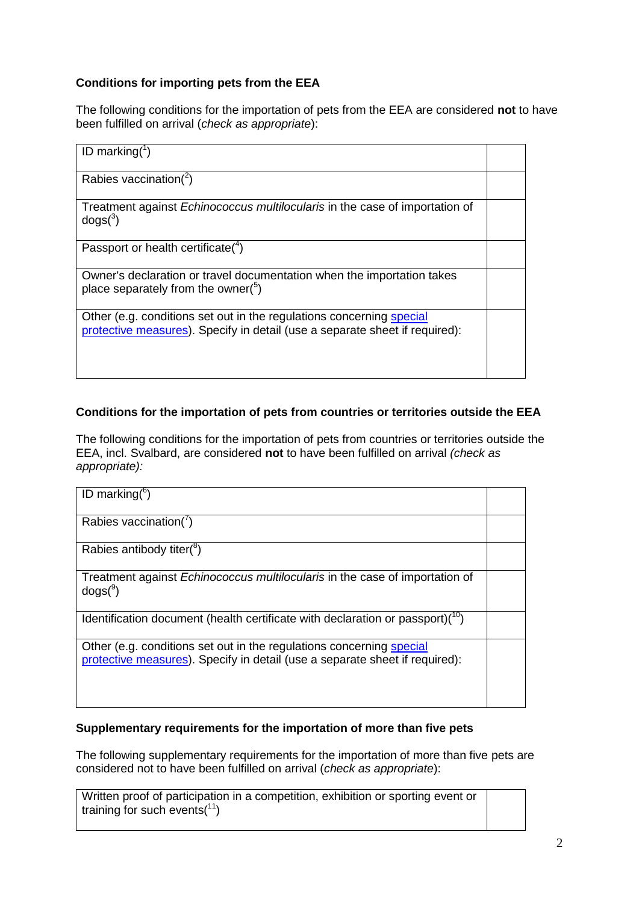# **Conditions for importing pets from the EEA**

The following conditions for the importation of pets from the EEA are considered **not** to have been fulfilled on arrival (*check as appropriate*):

| ID marking( $\frac{1}{2}$ )                                                                                                                         |  |
|-----------------------------------------------------------------------------------------------------------------------------------------------------|--|
| Rabies vaccination( $^{2}$ )                                                                                                                        |  |
| Treatment against <i>Echinococcus multilocularis</i> in the case of importation of<br>dogs <sup>3</sup>                                             |  |
| Passport or health certificate( $4$ )                                                                                                               |  |
| Owner's declaration or travel documentation when the importation takes<br>place separately from the owner( $5$ )                                    |  |
| Other (e.g. conditions set out in the regulations concerning special<br>protective measures). Specify in detail (use a separate sheet if required): |  |

# **Conditions for the importation of pets from countries or territories outside the EEA**

The following conditions for the importation of pets from countries or territories outside the EEA, incl. Svalbard, are considered **not** to have been fulfilled on arrival *(check as appropriate):*

| ID marking( $6$ )                                                                                                                                   |  |
|-----------------------------------------------------------------------------------------------------------------------------------------------------|--|
| Rabies vaccination( $\prime$ )                                                                                                                      |  |
| Rabies antibody titer( <sup>8</sup> )                                                                                                               |  |
| Treatment against <i>Echinococcus multilocularis</i> in the case of importation of<br>$d$ ogs $(^9)$                                                |  |
| Identification document (health certificate with declaration or passport) $(10)$                                                                    |  |
| Other (e.g. conditions set out in the regulations concerning special<br>protective measures). Specify in detail (use a separate sheet if required): |  |

# **Supplementary requirements for the importation of more than five pets**

The following supplementary requirements for the importation of more than five pets are considered not to have been fulfilled on arrival (*check as appropriate*):

Written proof of participation in a competition, exhibition or sporting event or training for such events $(1)$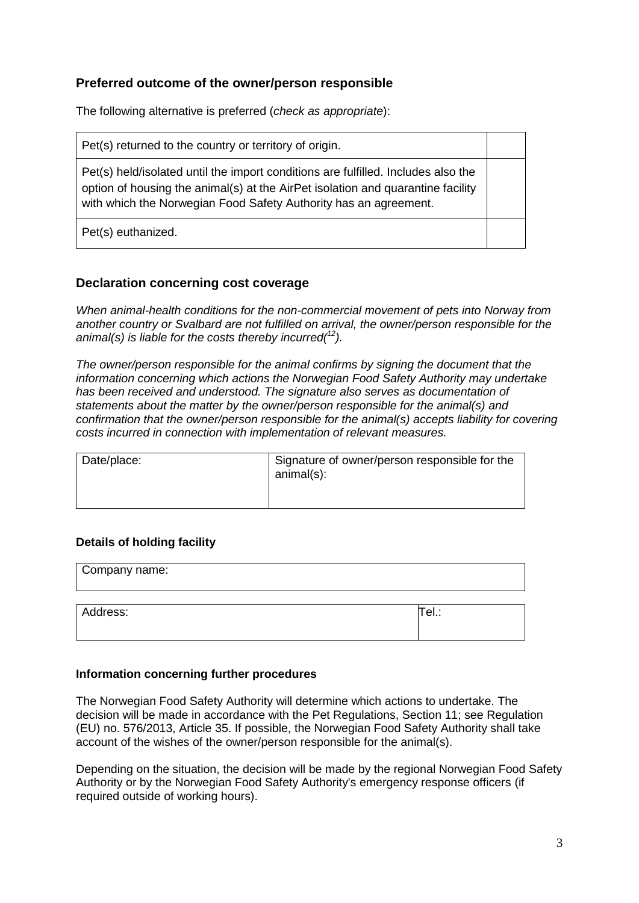# **Preferred outcome of the owner/person responsible**

The following alternative is preferred (*check as appropriate*):

Pet(s) returned to the country or territory of origin.

Pet(s) held/isolated until the import conditions are fulfilled. Includes also the option of housing the animal(s) at the AirPet isolation and quarantine facility with which the Norwegian Food Safety Authority has an agreement.

Pet(s) euthanized.

#### **Declaration concerning cost coverage**

*When animal-health conditions for the non-commercial movement of pets into Norway from another country or Svalbard are not fulfilled on arrival, the owner/person responsible for the animal(s) is liable for the costs thereby incurred(<sup>12</sup>).* 

*The owner/person responsible for the animal confirms by signing the document that the information concerning which actions the Norwegian Food Safety Authority may undertake*  has been received and understood. The signature also serves as documentation of *statements about the matter by the owner/person responsible for the animal(s) and confirmation that the owner/person responsible for the animal(s) accepts liability for covering costs incurred in connection with implementation of relevant measures.* 

| Date/place: | Signature of owner/person responsible for the<br>animal(s): |
|-------------|-------------------------------------------------------------|
|-------------|-------------------------------------------------------------|

#### **Details of holding facility**

| Company name: |       |
|---------------|-------|
|               |       |
| Address:      | ∏el.: |
|               |       |

#### **Information concerning further procedures**

The Norwegian Food Safety Authority will determine which actions to undertake. The decision will be made in accordance with the Pet Regulations, Section 11; see Regulation (EU) no. 576/2013, Article 35. If possible, the Norwegian Food Safety Authority shall take account of the wishes of the owner/person responsible for the animal(s).

Depending on the situation, the decision will be made by the regional Norwegian Food Safety Authority or by the Norwegian Food Safety Authority's emergency response officers (if required outside of working hours).